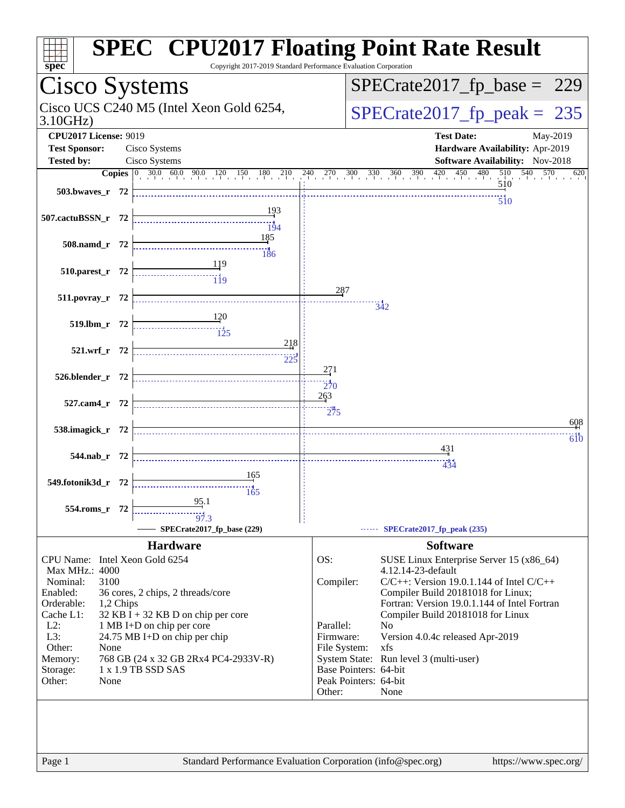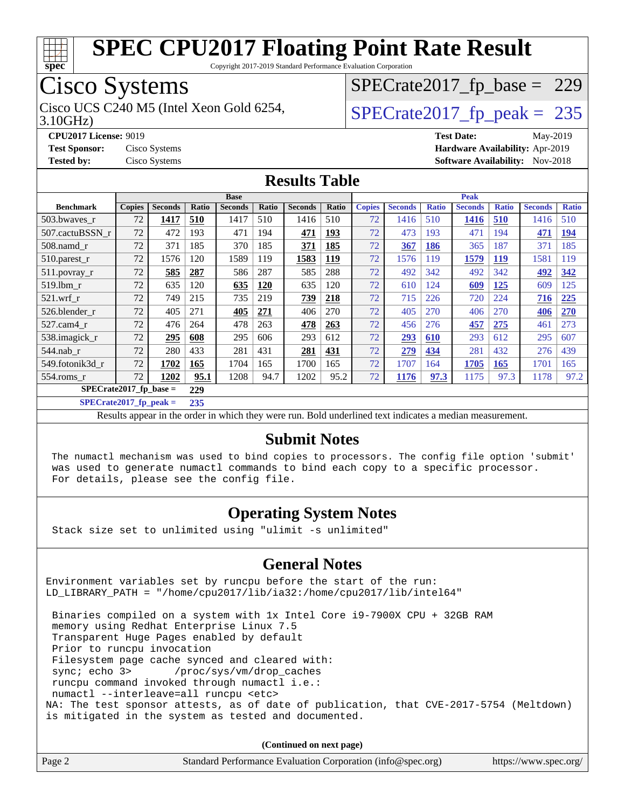

Copyright 2017-2019 Standard Performance Evaluation Corporation

## Cisco Systems

Cisco UCS C240 M5 (Intel Xeon Gold 6254,  $\vert$ [SPECrate2017\\_fp\\_peak =](http://www.spec.org/auto/cpu2017/Docs/result-fields.html#SPECrate2017fppeak) 235

[SPECrate2017\\_fp\\_base =](http://www.spec.org/auto/cpu2017/Docs/result-fields.html#SPECrate2017fpbase) 229

3.10GHz)

**[CPU2017 License:](http://www.spec.org/auto/cpu2017/Docs/result-fields.html#CPU2017License)** 9019 **[Test Date:](http://www.spec.org/auto/cpu2017/Docs/result-fields.html#TestDate)** May-2019 **[Test Sponsor:](http://www.spec.org/auto/cpu2017/Docs/result-fields.html#TestSponsor)** Cisco Systems **[Hardware Availability:](http://www.spec.org/auto/cpu2017/Docs/result-fields.html#HardwareAvailability)** Apr-2019 **[Tested by:](http://www.spec.org/auto/cpu2017/Docs/result-fields.html#Testedby)** Cisco Systems **[Software Availability:](http://www.spec.org/auto/cpu2017/Docs/result-fields.html#SoftwareAvailability)** Nov-2018

#### **[Results Table](http://www.spec.org/auto/cpu2017/Docs/result-fields.html#ResultsTable)**

|                          | <b>Base</b>   |                |       |                |       |                | <b>Peak</b> |               |                |              |                |              |                |              |
|--------------------------|---------------|----------------|-------|----------------|-------|----------------|-------------|---------------|----------------|--------------|----------------|--------------|----------------|--------------|
| <b>Benchmark</b>         | <b>Copies</b> | <b>Seconds</b> | Ratio | <b>Seconds</b> | Ratio | <b>Seconds</b> | Ratio       | <b>Copies</b> | <b>Seconds</b> | <b>Ratio</b> | <b>Seconds</b> | <b>Ratio</b> | <b>Seconds</b> | <b>Ratio</b> |
| 503.bwayes_r             | 72            | 1417           | 510   | 1417           | 510   | 1416           | 510         | 72            | 1416           | 510          | 1416           | 510          | 1416           | 510          |
| 507.cactuBSSN r          | 72            | 472            | 193   | 471            | 194   | 471            | 193         | 72            | 473            | 193          | 471            | 194          | 471            | <u>194</u>   |
| $508$ .namd_r            | 72            | 371            | 185   | 370            | 185   | 371            | 185         | 72            | 367            | 186          | 365            | 187          | 371            | 185          |
| 510.parest_r             | 72            | 1576           | 120   | 1589           | 119   | 1583           | <u>119</u>  | 72            | 1576           | 119          | 1579           | <u>119</u>   | 1581           | 119          |
| 511.povray_r             | 72            | 585            | 287   | 586            | 287   | 585            | 288         | 72            | 492            | 342          | 492            | 342          | 492            | 342          |
| 519.1bm r                | 72            | 635            | 120   | 635            | 120   | 635            | 120         | 72            | 610            | 124          | 609            | <u>125</u>   | 609            | 125          |
| $521$ .wrf r             | 72            | 749            | 215   | 735            | 219   | 739            | 218         | 72            | 715            | 226          | 720            | 224          | 716            | 225          |
| 526.blender r            | 72            | 405            | 271   | 405            | 271   | 406            | 270         | 72            | 405            | 270          | 406            | 270          | 406            | <b>270</b>   |
| 527.cam4 r               | 72            | 476            | 264   | 478            | 263   | 478            | 263         | 72            | 456            | 276          | 457            | 275          | 461            | 273          |
| 538.imagick_r            | 72            | 295            | 608   | 295            | 606   | 293            | 612         | 72            | <u>293</u>     | 610          | 293            | 612          | 295            | 607          |
| 544.nab r                | 72            | 280            | 433   | 281            | 431   | 281            | 431         | 72            | 279            | 434          | 281            | 432          | 276            | 439          |
| 549.fotonik3d r          | 72            | 1702           | 165   | 1704           | 165   | 1700           | 165         | 72            | 1707           | 164          | 1705           | <b>165</b>   | 1701           | 165          |
| $554$ .roms r            | 72            | 1202           | 95.1  | 1208           | 94.7  | 1202           | 95.2        | 72            | 1176           | 97.3         | 1175           | 97.3         | 1178           | 97.2         |
| $SPECrate2017$ fp base = |               |                | 229   |                |       |                |             |               |                |              |                |              |                |              |

**[SPECrate2017\\_fp\\_peak =](http://www.spec.org/auto/cpu2017/Docs/result-fields.html#SPECrate2017fppeak) 235**

Results appear in the [order in which they were run.](http://www.spec.org/auto/cpu2017/Docs/result-fields.html#RunOrder) Bold underlined text [indicates a median measurement.](http://www.spec.org/auto/cpu2017/Docs/result-fields.html#Median)

#### **[Submit Notes](http://www.spec.org/auto/cpu2017/Docs/result-fields.html#SubmitNotes)**

 The numactl mechanism was used to bind copies to processors. The config file option 'submit' was used to generate numactl commands to bind each copy to a specific processor. For details, please see the config file.

#### **[Operating System Notes](http://www.spec.org/auto/cpu2017/Docs/result-fields.html#OperatingSystemNotes)**

Stack size set to unlimited using "ulimit -s unlimited"

#### **[General Notes](http://www.spec.org/auto/cpu2017/Docs/result-fields.html#GeneralNotes)**

Environment variables set by runcpu before the start of the run: LD\_LIBRARY\_PATH = "/home/cpu2017/lib/ia32:/home/cpu2017/lib/intel64"

 Binaries compiled on a system with 1x Intel Core i9-7900X CPU + 32GB RAM memory using Redhat Enterprise Linux 7.5 Transparent Huge Pages enabled by default Prior to runcpu invocation Filesystem page cache synced and cleared with: sync; echo 3> /proc/sys/vm/drop\_caches runcpu command invoked through numactl i.e.: numactl --interleave=all runcpu <etc> NA: The test sponsor attests, as of date of publication, that CVE-2017-5754 (Meltdown) is mitigated in the system as tested and documented.

**(Continued on next page)**

| Page 2 | Standard Performance Evaluation Corporation (info@spec.org) | https://www.spec.org/ |
|--------|-------------------------------------------------------------|-----------------------|
|--------|-------------------------------------------------------------|-----------------------|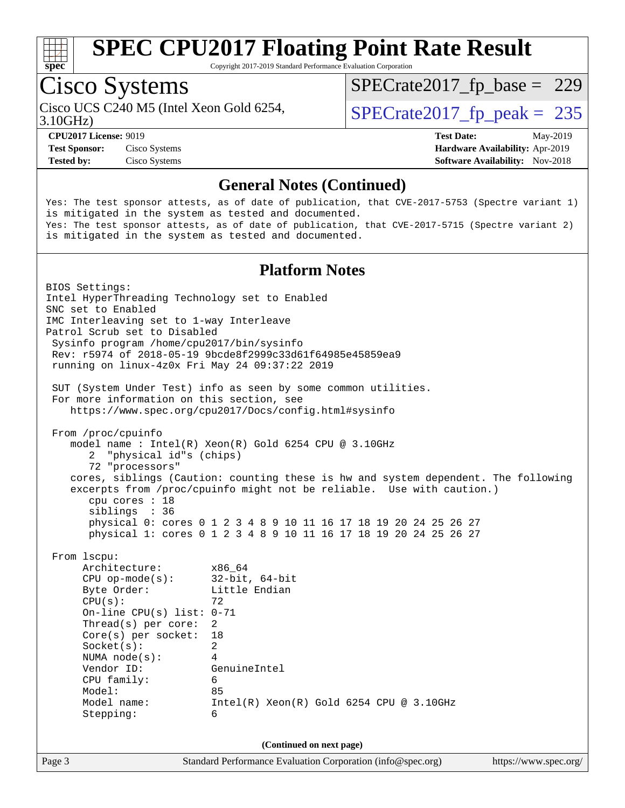

Copyright 2017-2019 Standard Performance Evaluation Corporation

## Cisco Systems

Cisco UCS C240 M5 (Intel Xeon Gold 6254,  $\vert$ [SPECrate2017\\_fp\\_peak =](http://www.spec.org/auto/cpu2017/Docs/result-fields.html#SPECrate2017fppeak) 235

[SPECrate2017\\_fp\\_base =](http://www.spec.org/auto/cpu2017/Docs/result-fields.html#SPECrate2017fpbase) 229

3.10GHz)

**[Test Sponsor:](http://www.spec.org/auto/cpu2017/Docs/result-fields.html#TestSponsor)** Cisco Systems **[Hardware Availability:](http://www.spec.org/auto/cpu2017/Docs/result-fields.html#HardwareAvailability)** Apr-2019 **[Tested by:](http://www.spec.org/auto/cpu2017/Docs/result-fields.html#Testedby)** Cisco Systems **[Software Availability:](http://www.spec.org/auto/cpu2017/Docs/result-fields.html#SoftwareAvailability)** Nov-2018

**[CPU2017 License:](http://www.spec.org/auto/cpu2017/Docs/result-fields.html#CPU2017License)** 9019 **[Test Date:](http://www.spec.org/auto/cpu2017/Docs/result-fields.html#TestDate)** May-2019

#### **[General Notes \(Continued\)](http://www.spec.org/auto/cpu2017/Docs/result-fields.html#GeneralNotes)**

Yes: The test sponsor attests, as of date of publication, that CVE-2017-5753 (Spectre variant 1) is mitigated in the system as tested and documented. Yes: The test sponsor attests, as of date of publication, that CVE-2017-5715 (Spectre variant 2) is mitigated in the system as tested and documented.

#### **[Platform Notes](http://www.spec.org/auto/cpu2017/Docs/result-fields.html#PlatformNotes)**

Page 3 Standard Performance Evaluation Corporation [\(info@spec.org\)](mailto:info@spec.org) <https://www.spec.org/> BIOS Settings: Intel HyperThreading Technology set to Enabled SNC set to Enabled IMC Interleaving set to 1-way Interleave Patrol Scrub set to Disabled Sysinfo program /home/cpu2017/bin/sysinfo Rev: r5974 of 2018-05-19 9bcde8f2999c33d61f64985e45859ea9 running on linux-4z0x Fri May 24 09:37:22 2019 SUT (System Under Test) info as seen by some common utilities. For more information on this section, see <https://www.spec.org/cpu2017/Docs/config.html#sysinfo> From /proc/cpuinfo model name : Intel(R) Xeon(R) Gold 6254 CPU @ 3.10GHz 2 "physical id"s (chips) 72 "processors" cores, siblings (Caution: counting these is hw and system dependent. The following excerpts from /proc/cpuinfo might not be reliable. Use with caution.) cpu cores : 18 siblings : 36 physical 0: cores 0 1 2 3 4 8 9 10 11 16 17 18 19 20 24 25 26 27 physical 1: cores 0 1 2 3 4 8 9 10 11 16 17 18 19 20 24 25 26 27 From lscpu: Architecture: x86\_64 CPU op-mode(s): 32-bit, 64-bit Byte Order: Little Endian  $CPU(s):$  72 On-line CPU(s) list: 0-71 Thread(s) per core: 2 Core(s) per socket: 18 Socket(s): 2 NUMA node(s): 4 Vendor ID: GenuineIntel CPU family: 6 Model: 85 Model name: Intel(R) Xeon(R) Gold 6254 CPU @ 3.10GHz Stepping: 6 **(Continued on next page)**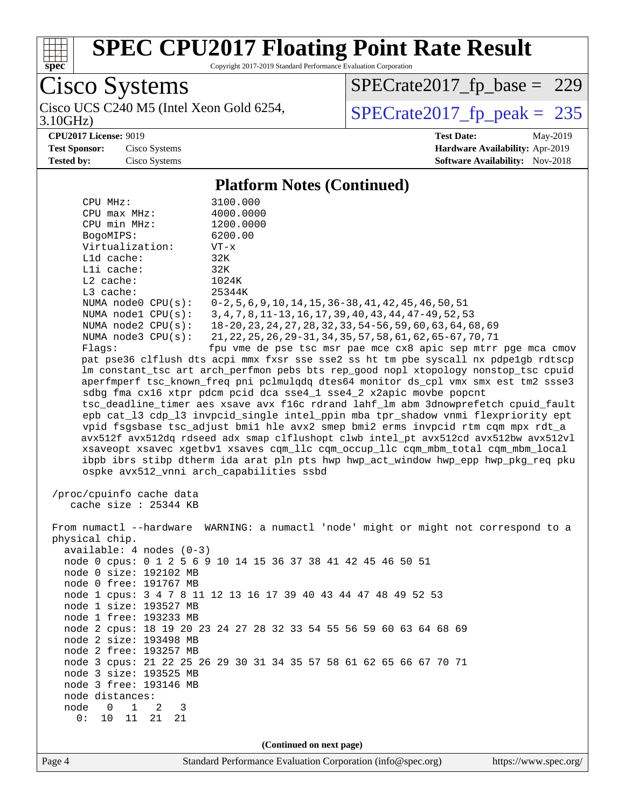

Copyright 2017-2019 Standard Performance Evaluation Corporation

Cisco Systems

3.10GHz) Cisco UCS C240 M5 (Intel Xeon Gold 6254,  $SPECrate2017_fp\_peak = 235$ 

[SPECrate2017\\_fp\\_base =](http://www.spec.org/auto/cpu2017/Docs/result-fields.html#SPECrate2017fpbase) 229

**[CPU2017 License:](http://www.spec.org/auto/cpu2017/Docs/result-fields.html#CPU2017License)** 9019 **[Test Date:](http://www.spec.org/auto/cpu2017/Docs/result-fields.html#TestDate)** May-2019 **[Test Sponsor:](http://www.spec.org/auto/cpu2017/Docs/result-fields.html#TestSponsor)** Cisco Systems **[Hardware Availability:](http://www.spec.org/auto/cpu2017/Docs/result-fields.html#HardwareAvailability)** Apr-2019 **[Tested by:](http://www.spec.org/auto/cpu2017/Docs/result-fields.html#Testedby)** Cisco Systems **[Software Availability:](http://www.spec.org/auto/cpu2017/Docs/result-fields.html#SoftwareAvailability)** Nov-2018

#### **[Platform Notes \(Continued\)](http://www.spec.org/auto/cpu2017/Docs/result-fields.html#PlatformNotes)**

| Virtualization:<br>$L1d$ cache:                   | $VT - x$<br>32K                                                                                                                                                        |
|---------------------------------------------------|------------------------------------------------------------------------------------------------------------------------------------------------------------------------|
| Lli cache:                                        | 32K                                                                                                                                                                    |
| $L2$ cache:                                       | 1024K                                                                                                                                                                  |
| L3 cache:                                         | 25344K                                                                                                                                                                 |
| NUMA $node0$ $CPU(s):$<br>NUMA nodel CPU(s):      | $0-2, 5, 6, 9, 10, 14, 15, 36-38, 41, 42, 45, 46, 50, 51$<br>3, 4, 7, 8, 11-13, 16, 17, 39, 40, 43, 44, 47-49, 52, 53                                                  |
| NUMA $node2$ $CPU(s):$                            | 18-20, 23, 24, 27, 28, 32, 33, 54-56, 59, 60, 63, 64, 68, 69                                                                                                           |
| NUMA $node3$ $CPU(s):$                            | 21, 22, 25, 26, 29-31, 34, 35, 57, 58, 61, 62, 65-67, 70, 71                                                                                                           |
| Flaqs:                                            | fpu vme de pse tsc msr pae mce cx8 apic sep mtrr pge mca cmov                                                                                                          |
|                                                   | pat pse36 clflush dts acpi mmx fxsr sse sse2 ss ht tm pbe syscall nx pdpe1gb rdtscp                                                                                    |
|                                                   | lm constant_tsc art arch_perfmon pebs bts rep_good nopl xtopology nonstop_tsc cpuid                                                                                    |
|                                                   | aperfmperf tsc_known_freq pni pclmulqdq dtes64 monitor ds_cpl vmx smx est tm2 ssse3                                                                                    |
|                                                   | sdbg fma cx16 xtpr pdcm pcid dca sse4_1 sse4_2 x2apic movbe popcnt                                                                                                     |
|                                                   | tsc_deadline_timer aes xsave avx f16c rdrand lahf_lm abm 3dnowprefetch cpuid_fault<br>epb cat_13 cdp_13 invpcid_single intel_ppin mba tpr_shadow vnmi flexpriority ept |
|                                                   | vpid fsgsbase tsc adjust bmil hle avx2 smep bmi2 erms invpcid rtm cgm mpx rdt a                                                                                        |
|                                                   | avx512f avx512dq rdseed adx smap clflushopt clwb intel_pt avx512cd avx512bw avx512vl                                                                                   |
|                                                   | xsaveopt xsavec xgetbvl xsaves cqm_llc cqm_occup_llc cqm_mbm_total cqm_mbm_local                                                                                       |
|                                                   | ibpb ibrs stibp dtherm ida arat pln pts hwp hwp_act_window hwp_epp hwp_pkg_req pku                                                                                     |
|                                                   | ospke avx512_vnni arch_capabilities ssbd                                                                                                                               |
|                                                   |                                                                                                                                                                        |
| /proc/cpuinfo cache data<br>cache size : 25344 KB |                                                                                                                                                                        |
|                                                   |                                                                                                                                                                        |
|                                                   | From numactl --hardware WARNING: a numactl 'node' might or might not correspond to a                                                                                   |
| physical chip.                                    |                                                                                                                                                                        |
| $available: 4 nodes (0-3)$                        |                                                                                                                                                                        |
|                                                   | node 0 cpus: 0 1 2 5 6 9 10 14 15 36 37 38 41 42 45 46 50 51                                                                                                           |
| node 0 size: 192102 MB                            |                                                                                                                                                                        |
| node 0 free: 191767 MB                            |                                                                                                                                                                        |
| node 1 size: 193527 MB                            | node 1 cpus: 3 4 7 8 11 12 13 16 17 39 40 43 44 47 48 49 52 53                                                                                                         |
| node 1 free: 193233 MB                            |                                                                                                                                                                        |
|                                                   | node 2 cpus: 18 19 20 23 24 27 28 32 33 54 55 56 59 60 63 64 68 69                                                                                                     |
| node 2 size: 193498 MB                            |                                                                                                                                                                        |
| node 2 free: 193257 MB                            |                                                                                                                                                                        |
|                                                   | node 3 cpus: 21 22 25 26 29 30 31 34 35 57 58 61 62 65 66 67 70 71                                                                                                     |
| node 3 size: 193525 MB                            |                                                                                                                                                                        |
| node 3 free: 193146 MB                            |                                                                                                                                                                        |
| node distances:                                   |                                                                                                                                                                        |
|                                                   |                                                                                                                                                                        |
| node<br>$\mathsf{O}$<br>$\mathbf 1$<br>2<br>3     |                                                                                                                                                                        |
| 0:<br>10<br>11<br>21<br>21                        |                                                                                                                                                                        |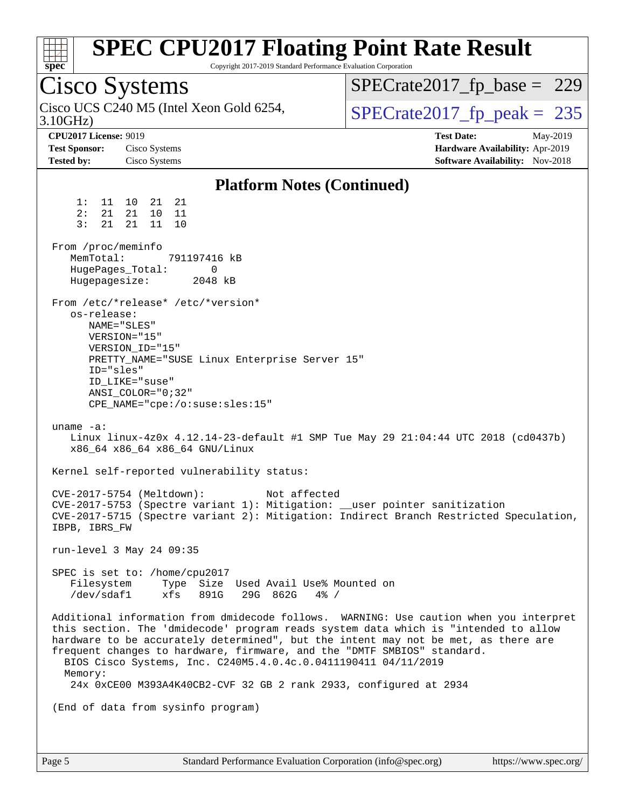| <b>SPEC CPU2017 Floating Point Rate Result</b><br>Copyright 2017-2019 Standard Performance Evaluation Corporation<br>$spec^*$                                                                                                                                                                                                                                                                                                                                                                                                                                                                                                                                                                                                                                                                                                                                                                                                                                                                                                                |                                                                                                     |
|----------------------------------------------------------------------------------------------------------------------------------------------------------------------------------------------------------------------------------------------------------------------------------------------------------------------------------------------------------------------------------------------------------------------------------------------------------------------------------------------------------------------------------------------------------------------------------------------------------------------------------------------------------------------------------------------------------------------------------------------------------------------------------------------------------------------------------------------------------------------------------------------------------------------------------------------------------------------------------------------------------------------------------------------|-----------------------------------------------------------------------------------------------------|
| Cisco Systems                                                                                                                                                                                                                                                                                                                                                                                                                                                                                                                                                                                                                                                                                                                                                                                                                                                                                                                                                                                                                                | $SPECrate2017_fp\_base = 229$                                                                       |
| Cisco UCS C240 M5 (Intel Xeon Gold 6254,<br>3.10GHz                                                                                                                                                                                                                                                                                                                                                                                                                                                                                                                                                                                                                                                                                                                                                                                                                                                                                                                                                                                          | $SPECTate2017$ _fp_peak = 235                                                                       |
| <b>CPU2017 License: 9019</b><br><b>Test Sponsor:</b><br>Cisco Systems<br><b>Tested by:</b><br>Cisco Systems                                                                                                                                                                                                                                                                                                                                                                                                                                                                                                                                                                                                                                                                                                                                                                                                                                                                                                                                  | <b>Test Date:</b><br>May-2019<br>Hardware Availability: Apr-2019<br>Software Availability: Nov-2018 |
| <b>Platform Notes (Continued)</b>                                                                                                                                                                                                                                                                                                                                                                                                                                                                                                                                                                                                                                                                                                                                                                                                                                                                                                                                                                                                            |                                                                                                     |
| 1:<br>21 21<br>11 10<br>2:<br>21<br>21<br>10<br>- 11<br>3:<br>11 10<br>21<br>21<br>From /proc/meminfo<br>MemTotal:<br>791197416 kB<br>HugePages_Total:<br>0<br>Hugepagesize:<br>2048 kB<br>From /etc/*release* /etc/*version*<br>os-release:<br>NAME="SLES"<br>VERSION="15"<br>VERSION_ID="15"<br>PRETTY_NAME="SUSE Linux Enterprise Server 15"<br>ID="sles"<br>ID_LIKE="suse"<br>ANSI COLOR="0;32"<br>$CPE\_NAME='cpe://o:suse: sles:15"$<br>uname $-a$ :<br>Linux linux-4z0x 4.12.14-23-default #1 SMP Tue May 29 21:04:44 UTC 2018 (cd0437b)<br>x86_64 x86_64 x86_64 GNU/Linux<br>Kernel self-reported vulnerability status:<br>CVE-2017-5754 (Meltdown):<br>Not affected<br>CVE-2017-5753 (Spectre variant 1): Mitigation: __user pointer sanitization<br>CVE-2017-5715 (Spectre variant 2): Mitigation: Indirect Branch Restricted Speculation,<br>IBPB, IBRS_FW<br>run-level 3 May 24 09:35<br>SPEC is set to: /home/cpu2017<br>Filesystem<br>Type Size Used Avail Use% Mounted on<br>891G<br>/dev/sdaf1<br>xfs<br>29G 862G<br>$4\%$ / |                                                                                                     |
| Additional information from dmidecode follows. WARNING: Use caution when you interpret<br>this section. The 'dmidecode' program reads system data which is "intended to allow<br>hardware to be accurately determined", but the intent may not be met, as there are<br>frequent changes to hardware, firmware, and the "DMTF SMBIOS" standard.<br>BIOS Cisco Systems, Inc. C240M5.4.0.4c.0.0411190411 04/11/2019<br>Memory:<br>24x 0xCE00 M393A4K40CB2-CVF 32 GB 2 rank 2933, configured at 2934                                                                                                                                                                                                                                                                                                                                                                                                                                                                                                                                             |                                                                                                     |
| (End of data from sysinfo program)                                                                                                                                                                                                                                                                                                                                                                                                                                                                                                                                                                                                                                                                                                                                                                                                                                                                                                                                                                                                           |                                                                                                     |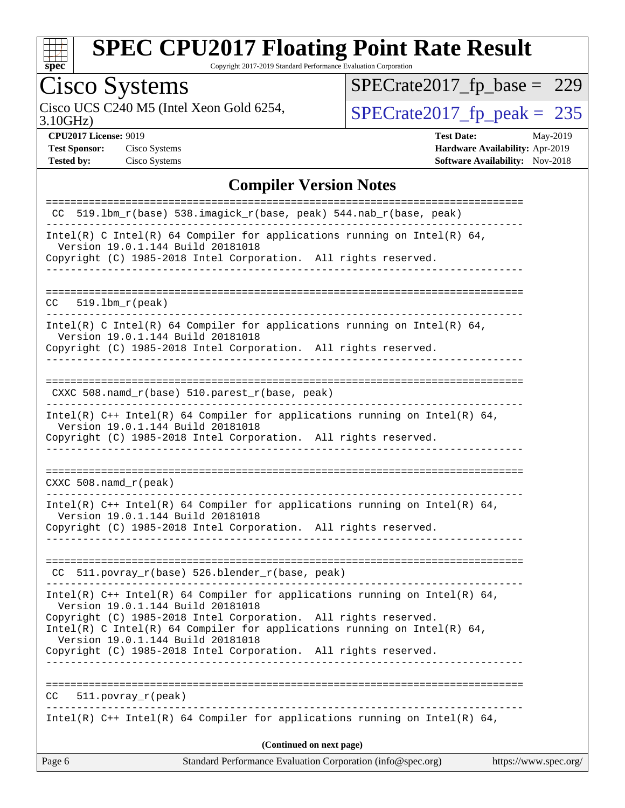

Copyright 2017-2019 Standard Performance Evaluation Corporation

# Cisco Systems<br>Cisco UCS C240 M5 (Intel Xeon Gold 6254,

[SPECrate2017\\_fp\\_base =](http://www.spec.org/auto/cpu2017/Docs/result-fields.html#SPECrate2017fpbase) 229

3.10GHz)

 $SPECTate 2017_fp\_peak = 235$ 

**[Test Sponsor:](http://www.spec.org/auto/cpu2017/Docs/result-fields.html#TestSponsor)** Cisco Systems **[Hardware Availability:](http://www.spec.org/auto/cpu2017/Docs/result-fields.html#HardwareAvailability)** Apr-2019

**[CPU2017 License:](http://www.spec.org/auto/cpu2017/Docs/result-fields.html#CPU2017License)** 9019 **[Test Date:](http://www.spec.org/auto/cpu2017/Docs/result-fields.html#TestDate)** May-2019 **[Tested by:](http://www.spec.org/auto/cpu2017/Docs/result-fields.html#Testedby)** Cisco Systems **[Software Availability:](http://www.spec.org/auto/cpu2017/Docs/result-fields.html#SoftwareAvailability)** Nov-2018

#### **[Compiler Version Notes](http://www.spec.org/auto/cpu2017/Docs/result-fields.html#CompilerVersionNotes)**

| Standard Performance Evaluation Corporation (info@spec.org)<br>Page 6<br>https://www.spec.org/                                                                                       |  |  |  |
|--------------------------------------------------------------------------------------------------------------------------------------------------------------------------------------|--|--|--|
| (Continued on next page)                                                                                                                                                             |  |  |  |
| Intel(R) $C++$ Intel(R) 64 Compiler for applications running on Intel(R) 64,                                                                                                         |  |  |  |
| 511.povray_r(peak)<br>CC                                                                                                                                                             |  |  |  |
| Copyright (C) 1985-2018 Intel Corporation. All rights reserved.                                                                                                                      |  |  |  |
| Intel(R) C Intel(R) 64 Compiler for applications running on Intel(R) 64,<br>Version 19.0.1.144 Build 20181018                                                                        |  |  |  |
| Intel(R) $C++$ Intel(R) 64 Compiler for applications running on Intel(R) 64,<br>Version 19.0.1.144 Build 20181018<br>Copyright (C) 1985-2018 Intel Corporation. All rights reserved. |  |  |  |
| CC 511.povray_r(base) 526.blender_r(base, peak)                                                                                                                                      |  |  |  |
| Intel(R) $C++$ Intel(R) 64 Compiler for applications running on Intel(R) 64,<br>Version 19.0.1.144 Build 20181018<br>Copyright (C) 1985-2018 Intel Corporation. All rights reserved. |  |  |  |
| $CXXC$ 508. namd $r$ (peak)                                                                                                                                                          |  |  |  |
| Version 19.0.1.144 Build 20181018<br>Copyright (C) 1985-2018 Intel Corporation. All rights reserved.                                                                                 |  |  |  |
| Intel(R) $C++$ Intel(R) 64 Compiler for applications running on Intel(R) 64,                                                                                                         |  |  |  |
| CXXC 508.namd_r(base) 510.parest_r(base, peak)                                                                                                                                       |  |  |  |
| Copyright (C) 1985-2018 Intel Corporation. All rights reserved.                                                                                                                      |  |  |  |
| Intel(R) C Intel(R) 64 Compiler for applications running on Intel(R) 64,<br>Version 19.0.1.144 Build 20181018                                                                        |  |  |  |
| 519.1bm r(peak)<br>CC .                                                                                                                                                              |  |  |  |
|                                                                                                                                                                                      |  |  |  |
| Intel(R) C Intel(R) 64 Compiler for applications running on Intel(R) 64,<br>Version 19.0.1.144 Build 20181018<br>Copyright (C) 1985-2018 Intel Corporation. All rights reserved.     |  |  |  |
| CC 519.1bm_r(base) 538.imagick_r(base, peak) 544.nab_r(base, peak)                                                                                                                   |  |  |  |
| :=========================<br>===============================                                                                                                                        |  |  |  |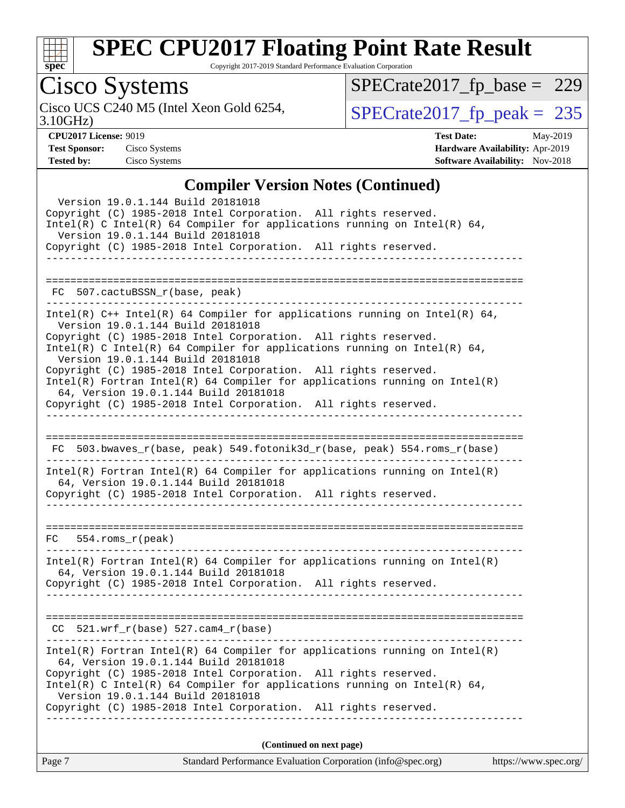

Copyright 2017-2019 Standard Performance Evaluation Corporation

## Cisco Systems

[SPECrate2017\\_fp\\_base =](http://www.spec.org/auto/cpu2017/Docs/result-fields.html#SPECrate2017fpbase) 229

3.10GHz)

Cisco UCS C240 M5 (Intel Xeon Gold 6254,  $SPECrate2017_fp\_peak = 235$ 

**[CPU2017 License:](http://www.spec.org/auto/cpu2017/Docs/result-fields.html#CPU2017License)** 9019 **[Test Date:](http://www.spec.org/auto/cpu2017/Docs/result-fields.html#TestDate)** May-2019 **[Test Sponsor:](http://www.spec.org/auto/cpu2017/Docs/result-fields.html#TestSponsor)** Cisco Systems **[Hardware Availability:](http://www.spec.org/auto/cpu2017/Docs/result-fields.html#HardwareAvailability)** Apr-2019 **[Tested by:](http://www.spec.org/auto/cpu2017/Docs/result-fields.html#Testedby)** Cisco Systems **[Software Availability:](http://www.spec.org/auto/cpu2017/Docs/result-fields.html#SoftwareAvailability)** Nov-2018

#### **[Compiler Version Notes \(Continued\)](http://www.spec.org/auto/cpu2017/Docs/result-fields.html#CompilerVersionNotes)**

| Standard Performance Evaluation Corporation (info@spec.org)<br>Page 7                                                                                                                                                                               | https://www.spec.org/ |
|-----------------------------------------------------------------------------------------------------------------------------------------------------------------------------------------------------------------------------------------------------|-----------------------|
| (Continued on next page)                                                                                                                                                                                                                            |                       |
| Copyright (C) 1985-2018 Intel Corporation. All rights reserved.<br>Intel(R) C Intel(R) 64 Compiler for applications running on Intel(R) 64,<br>Version 19.0.1.144 Build 20181018<br>Copyright (C) 1985-2018 Intel Corporation. All rights reserved. |                       |
| Intel(R) Fortran Intel(R) 64 Compiler for applications running on Intel(R)<br>64, Version 19.0.1.144 Build 20181018                                                                                                                                 |                       |
| $CC$ 521.wrf_r(base) 527.cam4_r(base)                                                                                                                                                                                                               |                       |
| 64, Version 19.0.1.144 Build 20181018<br>Copyright (C) 1985-2018 Intel Corporation. All rights reserved.                                                                                                                                            |                       |
| $Intel(R)$ Fortran Intel(R) 64 Compiler for applications running on Intel(R)                                                                                                                                                                        |                       |
| $FC$ 554. $roms_r(peak)$                                                                                                                                                                                                                            |                       |
| $Intel(R)$ Fortran Intel(R) 64 Compiler for applications running on Intel(R)<br>64, Version 19.0.1.144 Build 20181018<br>Copyright (C) 1985-2018 Intel Corporation. All rights reserved.                                                            |                       |
| FC 503.bwaves_r(base, peak) 549.fotonik3d_r(base, peak) 554.roms_r(base)                                                                                                                                                                            |                       |
| Copyright (C) 1985-2018 Intel Corporation. All rights reserved.                                                                                                                                                                                     |                       |
| Copyright (C) 1985-2018 Intel Corporation. All rights reserved.<br>$Intel(R)$ Fortran Intel(R) 64 Compiler for applications running on Intel(R)<br>64, Version 19.0.1.144 Build 20181018                                                            |                       |
| Version 19.0.1.144 Build 20181018<br>Copyright (C) 1985-2018 Intel Corporation. All rights reserved.<br>Intel(R) C Intel(R) 64 Compiler for applications running on Intel(R) 64,<br>Version 19.0.1.144 Build 20181018                               |                       |
| Intel(R) C++ Intel(R) 64 Compiler for applications running on Intel(R) 64,                                                                                                                                                                          |                       |
| FC 507.cactuBSSN_r(base, peak)                                                                                                                                                                                                                      |                       |
| Copyright (C) 1985-2018 Intel Corporation. All rights reserved.                                                                                                                                                                                     |                       |
| Intel(R) C Intel(R) 64 Compiler for applications running on Intel(R) 64,<br>Version 19.0.1.144 Build 20181018                                                                                                                                       |                       |
| Version 19.0.1.144 Build 20181018<br>Copyright (C) 1985-2018 Intel Corporation. All rights reserved.                                                                                                                                                |                       |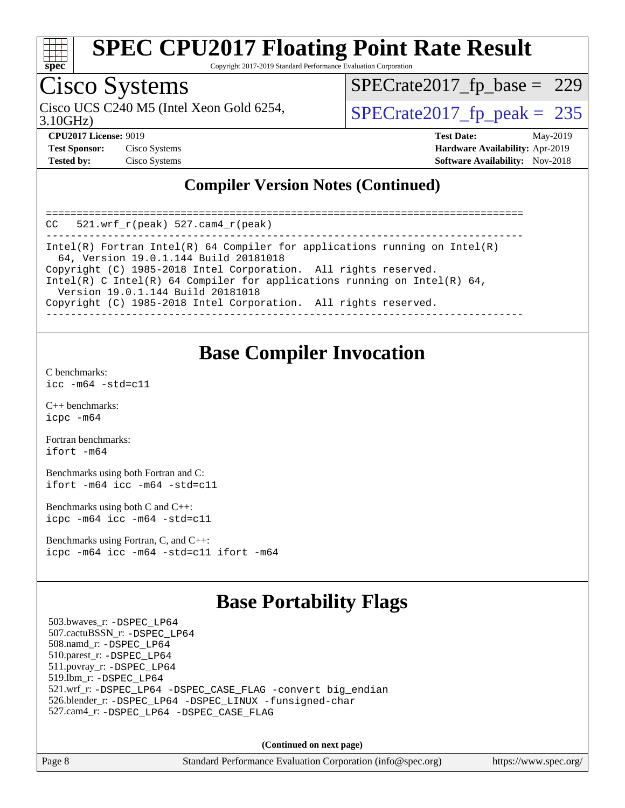

Copyright 2017-2019 Standard Performance Evaluation Corporation

## Cisco Systems

Cisco UCS C240 M5 (Intel Xeon Gold 6254,  $\vert$ [SPECrate2017\\_fp\\_peak =](http://www.spec.org/auto/cpu2017/Docs/result-fields.html#SPECrate2017fppeak) 235

[SPECrate2017\\_fp\\_base =](http://www.spec.org/auto/cpu2017/Docs/result-fields.html#SPECrate2017fpbase) 229

3.10GHz)

**[CPU2017 License:](http://www.spec.org/auto/cpu2017/Docs/result-fields.html#CPU2017License)** 9019 **[Test Date:](http://www.spec.org/auto/cpu2017/Docs/result-fields.html#TestDate)** May-2019 **[Test Sponsor:](http://www.spec.org/auto/cpu2017/Docs/result-fields.html#TestSponsor)** Cisco Systems **[Hardware Availability:](http://www.spec.org/auto/cpu2017/Docs/result-fields.html#HardwareAvailability)** Apr-2019 **[Tested by:](http://www.spec.org/auto/cpu2017/Docs/result-fields.html#Testedby)** Cisco Systems **[Software Availability:](http://www.spec.org/auto/cpu2017/Docs/result-fields.html#SoftwareAvailability)** Nov-2018

#### **[Compiler Version Notes \(Continued\)](http://www.spec.org/auto/cpu2017/Docs/result-fields.html#CompilerVersionNotes)**

| $CC = 521$ .wrf $r(\text{peak}) = 527$ .cam4 $r(\text{peak})$                                                                                                                    |
|----------------------------------------------------------------------------------------------------------------------------------------------------------------------------------|
| Intel(R) Fortran Intel(R) 64 Compiler for applications running on Intel(R)<br>64, Version 19.0.1.144 Build 20181018                                                              |
| Copyright (C) 1985-2018 Intel Corporation. All rights reserved.<br>Intel(R) C Intel(R) 64 Compiler for applications running on Intel(R) 64,<br>Version 19.0.1.144 Build 20181018 |
| Copyright (C) 1985-2018 Intel Corporation. All rights reserved.                                                                                                                  |

#### **[Base Compiler Invocation](http://www.spec.org/auto/cpu2017/Docs/result-fields.html#BaseCompilerInvocation)**

[C benchmarks](http://www.spec.org/auto/cpu2017/Docs/result-fields.html#Cbenchmarks): [icc -m64 -std=c11](http://www.spec.org/cpu2017/results/res2019q3/cpu2017-20190625-15901.flags.html#user_CCbase_intel_icc_64bit_c11_33ee0cdaae7deeeab2a9725423ba97205ce30f63b9926c2519791662299b76a0318f32ddfffdc46587804de3178b4f9328c46fa7c2b0cd779d7a61945c91cd35)

[C++ benchmarks:](http://www.spec.org/auto/cpu2017/Docs/result-fields.html#CXXbenchmarks) [icpc -m64](http://www.spec.org/cpu2017/results/res2019q3/cpu2017-20190625-15901.flags.html#user_CXXbase_intel_icpc_64bit_4ecb2543ae3f1412ef961e0650ca070fec7b7afdcd6ed48761b84423119d1bf6bdf5cad15b44d48e7256388bc77273b966e5eb805aefd121eb22e9299b2ec9d9)

[Fortran benchmarks](http://www.spec.org/auto/cpu2017/Docs/result-fields.html#Fortranbenchmarks): [ifort -m64](http://www.spec.org/cpu2017/results/res2019q3/cpu2017-20190625-15901.flags.html#user_FCbase_intel_ifort_64bit_24f2bb282fbaeffd6157abe4f878425411749daecae9a33200eee2bee2fe76f3b89351d69a8130dd5949958ce389cf37ff59a95e7a40d588e8d3a57e0c3fd751)

[Benchmarks using both Fortran and C](http://www.spec.org/auto/cpu2017/Docs/result-fields.html#BenchmarksusingbothFortranandC): [ifort -m64](http://www.spec.org/cpu2017/results/res2019q3/cpu2017-20190625-15901.flags.html#user_CC_FCbase_intel_ifort_64bit_24f2bb282fbaeffd6157abe4f878425411749daecae9a33200eee2bee2fe76f3b89351d69a8130dd5949958ce389cf37ff59a95e7a40d588e8d3a57e0c3fd751) [icc -m64 -std=c11](http://www.spec.org/cpu2017/results/res2019q3/cpu2017-20190625-15901.flags.html#user_CC_FCbase_intel_icc_64bit_c11_33ee0cdaae7deeeab2a9725423ba97205ce30f63b9926c2519791662299b76a0318f32ddfffdc46587804de3178b4f9328c46fa7c2b0cd779d7a61945c91cd35)

[Benchmarks using both C and C++](http://www.spec.org/auto/cpu2017/Docs/result-fields.html#BenchmarksusingbothCandCXX): [icpc -m64](http://www.spec.org/cpu2017/results/res2019q3/cpu2017-20190625-15901.flags.html#user_CC_CXXbase_intel_icpc_64bit_4ecb2543ae3f1412ef961e0650ca070fec7b7afdcd6ed48761b84423119d1bf6bdf5cad15b44d48e7256388bc77273b966e5eb805aefd121eb22e9299b2ec9d9) [icc -m64 -std=c11](http://www.spec.org/cpu2017/results/res2019q3/cpu2017-20190625-15901.flags.html#user_CC_CXXbase_intel_icc_64bit_c11_33ee0cdaae7deeeab2a9725423ba97205ce30f63b9926c2519791662299b76a0318f32ddfffdc46587804de3178b4f9328c46fa7c2b0cd779d7a61945c91cd35)

[Benchmarks using Fortran, C, and C++:](http://www.spec.org/auto/cpu2017/Docs/result-fields.html#BenchmarksusingFortranCandCXX) [icpc -m64](http://www.spec.org/cpu2017/results/res2019q3/cpu2017-20190625-15901.flags.html#user_CC_CXX_FCbase_intel_icpc_64bit_4ecb2543ae3f1412ef961e0650ca070fec7b7afdcd6ed48761b84423119d1bf6bdf5cad15b44d48e7256388bc77273b966e5eb805aefd121eb22e9299b2ec9d9) [icc -m64 -std=c11](http://www.spec.org/cpu2017/results/res2019q3/cpu2017-20190625-15901.flags.html#user_CC_CXX_FCbase_intel_icc_64bit_c11_33ee0cdaae7deeeab2a9725423ba97205ce30f63b9926c2519791662299b76a0318f32ddfffdc46587804de3178b4f9328c46fa7c2b0cd779d7a61945c91cd35) [ifort -m64](http://www.spec.org/cpu2017/results/res2019q3/cpu2017-20190625-15901.flags.html#user_CC_CXX_FCbase_intel_ifort_64bit_24f2bb282fbaeffd6157abe4f878425411749daecae9a33200eee2bee2fe76f3b89351d69a8130dd5949958ce389cf37ff59a95e7a40d588e8d3a57e0c3fd751)

#### **[Base Portability Flags](http://www.spec.org/auto/cpu2017/Docs/result-fields.html#BasePortabilityFlags)**

 503.bwaves\_r: [-DSPEC\\_LP64](http://www.spec.org/cpu2017/results/res2019q3/cpu2017-20190625-15901.flags.html#suite_basePORTABILITY503_bwaves_r_DSPEC_LP64) 507.cactuBSSN\_r: [-DSPEC\\_LP64](http://www.spec.org/cpu2017/results/res2019q3/cpu2017-20190625-15901.flags.html#suite_basePORTABILITY507_cactuBSSN_r_DSPEC_LP64) 508.namd\_r: [-DSPEC\\_LP64](http://www.spec.org/cpu2017/results/res2019q3/cpu2017-20190625-15901.flags.html#suite_basePORTABILITY508_namd_r_DSPEC_LP64) 510.parest\_r: [-DSPEC\\_LP64](http://www.spec.org/cpu2017/results/res2019q3/cpu2017-20190625-15901.flags.html#suite_basePORTABILITY510_parest_r_DSPEC_LP64) 511.povray\_r: [-DSPEC\\_LP64](http://www.spec.org/cpu2017/results/res2019q3/cpu2017-20190625-15901.flags.html#suite_basePORTABILITY511_povray_r_DSPEC_LP64) 519.lbm\_r: [-DSPEC\\_LP64](http://www.spec.org/cpu2017/results/res2019q3/cpu2017-20190625-15901.flags.html#suite_basePORTABILITY519_lbm_r_DSPEC_LP64) 521.wrf\_r: [-DSPEC\\_LP64](http://www.spec.org/cpu2017/results/res2019q3/cpu2017-20190625-15901.flags.html#suite_basePORTABILITY521_wrf_r_DSPEC_LP64) [-DSPEC\\_CASE\\_FLAG](http://www.spec.org/cpu2017/results/res2019q3/cpu2017-20190625-15901.flags.html#b521.wrf_r_baseCPORTABILITY_DSPEC_CASE_FLAG) [-convert big\\_endian](http://www.spec.org/cpu2017/results/res2019q3/cpu2017-20190625-15901.flags.html#user_baseFPORTABILITY521_wrf_r_convert_big_endian_c3194028bc08c63ac5d04de18c48ce6d347e4e562e8892b8bdbdc0214820426deb8554edfa529a3fb25a586e65a3d812c835984020483e7e73212c4d31a38223) 526.blender\_r: [-DSPEC\\_LP64](http://www.spec.org/cpu2017/results/res2019q3/cpu2017-20190625-15901.flags.html#suite_basePORTABILITY526_blender_r_DSPEC_LP64) [-DSPEC\\_LINUX](http://www.spec.org/cpu2017/results/res2019q3/cpu2017-20190625-15901.flags.html#b526.blender_r_baseCPORTABILITY_DSPEC_LINUX) [-funsigned-char](http://www.spec.org/cpu2017/results/res2019q3/cpu2017-20190625-15901.flags.html#user_baseCPORTABILITY526_blender_r_force_uchar_40c60f00ab013830e2dd6774aeded3ff59883ba5a1fc5fc14077f794d777847726e2a5858cbc7672e36e1b067e7e5c1d9a74f7176df07886a243d7cc18edfe67) 527.cam4\_r: [-DSPEC\\_LP64](http://www.spec.org/cpu2017/results/res2019q3/cpu2017-20190625-15901.flags.html#suite_basePORTABILITY527_cam4_r_DSPEC_LP64) [-DSPEC\\_CASE\\_FLAG](http://www.spec.org/cpu2017/results/res2019q3/cpu2017-20190625-15901.flags.html#b527.cam4_r_baseCPORTABILITY_DSPEC_CASE_FLAG)

**(Continued on next page)**

|  | Page 8 |  |
|--|--------|--|
|--|--------|--|

Page 8 Standard Performance Evaluation Corporation [\(info@spec.org\)](mailto:info@spec.org) <https://www.spec.org/>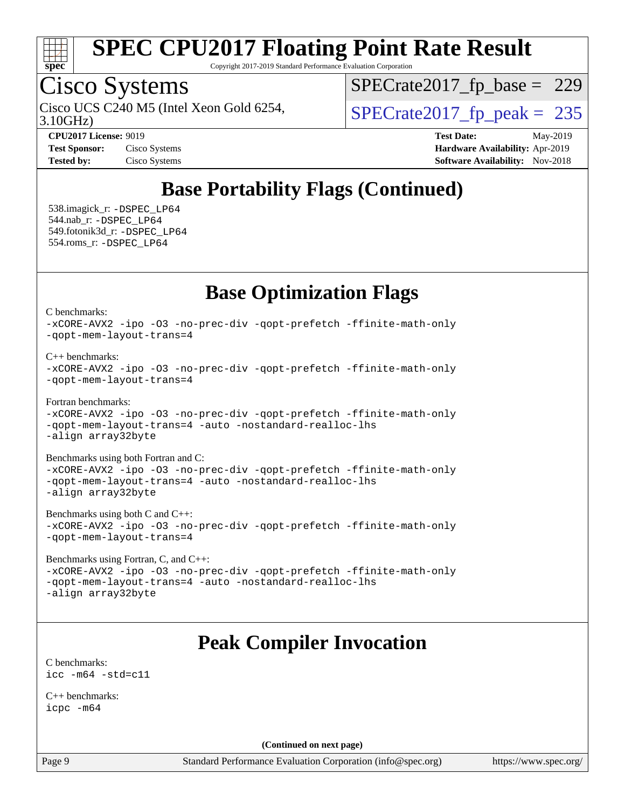

Copyright 2017-2019 Standard Performance Evaluation Corporation

## Cisco Systems

3.10GHz) Cisco UCS C240 M5 (Intel Xeon Gold 6254,  $\vert$ [SPECrate2017\\_fp\\_peak =](http://www.spec.org/auto/cpu2017/Docs/result-fields.html#SPECrate2017fppeak) 235

[SPECrate2017\\_fp\\_base =](http://www.spec.org/auto/cpu2017/Docs/result-fields.html#SPECrate2017fpbase) 229

**[CPU2017 License:](http://www.spec.org/auto/cpu2017/Docs/result-fields.html#CPU2017License)** 9019 **[Test Date:](http://www.spec.org/auto/cpu2017/Docs/result-fields.html#TestDate)** May-2019 **[Test Sponsor:](http://www.spec.org/auto/cpu2017/Docs/result-fields.html#TestSponsor)** Cisco Systems **[Hardware Availability:](http://www.spec.org/auto/cpu2017/Docs/result-fields.html#HardwareAvailability)** Apr-2019 **[Tested by:](http://www.spec.org/auto/cpu2017/Docs/result-fields.html#Testedby)** Cisco Systems **[Software Availability:](http://www.spec.org/auto/cpu2017/Docs/result-fields.html#SoftwareAvailability)** Nov-2018

## **[Base Portability Flags \(Continued\)](http://www.spec.org/auto/cpu2017/Docs/result-fields.html#BasePortabilityFlags)**

 538.imagick\_r: [-DSPEC\\_LP64](http://www.spec.org/cpu2017/results/res2019q3/cpu2017-20190625-15901.flags.html#suite_basePORTABILITY538_imagick_r_DSPEC_LP64) 544.nab\_r: [-DSPEC\\_LP64](http://www.spec.org/cpu2017/results/res2019q3/cpu2017-20190625-15901.flags.html#suite_basePORTABILITY544_nab_r_DSPEC_LP64) 549.fotonik3d\_r: [-DSPEC\\_LP64](http://www.spec.org/cpu2017/results/res2019q3/cpu2017-20190625-15901.flags.html#suite_basePORTABILITY549_fotonik3d_r_DSPEC_LP64) 554.roms\_r: [-DSPEC\\_LP64](http://www.spec.org/cpu2017/results/res2019q3/cpu2017-20190625-15901.flags.html#suite_basePORTABILITY554_roms_r_DSPEC_LP64)

## **[Base Optimization Flags](http://www.spec.org/auto/cpu2017/Docs/result-fields.html#BaseOptimizationFlags)**

[C benchmarks](http://www.spec.org/auto/cpu2017/Docs/result-fields.html#Cbenchmarks):

[-xCORE-AVX2](http://www.spec.org/cpu2017/results/res2019q3/cpu2017-20190625-15901.flags.html#user_CCbase_f-xCORE-AVX2) [-ipo](http://www.spec.org/cpu2017/results/res2019q3/cpu2017-20190625-15901.flags.html#user_CCbase_f-ipo) [-O3](http://www.spec.org/cpu2017/results/res2019q3/cpu2017-20190625-15901.flags.html#user_CCbase_f-O3) [-no-prec-div](http://www.spec.org/cpu2017/results/res2019q3/cpu2017-20190625-15901.flags.html#user_CCbase_f-no-prec-div) [-qopt-prefetch](http://www.spec.org/cpu2017/results/res2019q3/cpu2017-20190625-15901.flags.html#user_CCbase_f-qopt-prefetch) [-ffinite-math-only](http://www.spec.org/cpu2017/results/res2019q3/cpu2017-20190625-15901.flags.html#user_CCbase_f_finite_math_only_cb91587bd2077682c4b38af759c288ed7c732db004271a9512da14a4f8007909a5f1427ecbf1a0fb78ff2a814402c6114ac565ca162485bbcae155b5e4258871) [-qopt-mem-layout-trans=4](http://www.spec.org/cpu2017/results/res2019q3/cpu2017-20190625-15901.flags.html#user_CCbase_f-qopt-mem-layout-trans_fa39e755916c150a61361b7846f310bcdf6f04e385ef281cadf3647acec3f0ae266d1a1d22d972a7087a248fd4e6ca390a3634700869573d231a252c784941a8)

[C++ benchmarks:](http://www.spec.org/auto/cpu2017/Docs/result-fields.html#CXXbenchmarks)

```
-xCORE-AVX2 -ipo -O3 -no-prec-div -qopt-prefetch -ffinite-math-only
-qopt-mem-layout-trans=4
```
[Fortran benchmarks](http://www.spec.org/auto/cpu2017/Docs/result-fields.html#Fortranbenchmarks):

[-xCORE-AVX2](http://www.spec.org/cpu2017/results/res2019q3/cpu2017-20190625-15901.flags.html#user_FCbase_f-xCORE-AVX2) [-ipo](http://www.spec.org/cpu2017/results/res2019q3/cpu2017-20190625-15901.flags.html#user_FCbase_f-ipo) [-O3](http://www.spec.org/cpu2017/results/res2019q3/cpu2017-20190625-15901.flags.html#user_FCbase_f-O3) [-no-prec-div](http://www.spec.org/cpu2017/results/res2019q3/cpu2017-20190625-15901.flags.html#user_FCbase_f-no-prec-div) [-qopt-prefetch](http://www.spec.org/cpu2017/results/res2019q3/cpu2017-20190625-15901.flags.html#user_FCbase_f-qopt-prefetch) [-ffinite-math-only](http://www.spec.org/cpu2017/results/res2019q3/cpu2017-20190625-15901.flags.html#user_FCbase_f_finite_math_only_cb91587bd2077682c4b38af759c288ed7c732db004271a9512da14a4f8007909a5f1427ecbf1a0fb78ff2a814402c6114ac565ca162485bbcae155b5e4258871) [-qopt-mem-layout-trans=4](http://www.spec.org/cpu2017/results/res2019q3/cpu2017-20190625-15901.flags.html#user_FCbase_f-qopt-mem-layout-trans_fa39e755916c150a61361b7846f310bcdf6f04e385ef281cadf3647acec3f0ae266d1a1d22d972a7087a248fd4e6ca390a3634700869573d231a252c784941a8) [-auto](http://www.spec.org/cpu2017/results/res2019q3/cpu2017-20190625-15901.flags.html#user_FCbase_f-auto) [-nostandard-realloc-lhs](http://www.spec.org/cpu2017/results/res2019q3/cpu2017-20190625-15901.flags.html#user_FCbase_f_2003_std_realloc_82b4557e90729c0f113870c07e44d33d6f5a304b4f63d4c15d2d0f1fab99f5daaed73bdb9275d9ae411527f28b936061aa8b9c8f2d63842963b95c9dd6426b8a) [-align array32byte](http://www.spec.org/cpu2017/results/res2019q3/cpu2017-20190625-15901.flags.html#user_FCbase_align_array32byte_b982fe038af199962ba9a80c053b8342c548c85b40b8e86eb3cc33dee0d7986a4af373ac2d51c3f7cf710a18d62fdce2948f201cd044323541f22fc0fffc51b6)

[Benchmarks using both Fortran and C](http://www.spec.org/auto/cpu2017/Docs/result-fields.html#BenchmarksusingbothFortranandC):

[-xCORE-AVX2](http://www.spec.org/cpu2017/results/res2019q3/cpu2017-20190625-15901.flags.html#user_CC_FCbase_f-xCORE-AVX2) [-ipo](http://www.spec.org/cpu2017/results/res2019q3/cpu2017-20190625-15901.flags.html#user_CC_FCbase_f-ipo) [-O3](http://www.spec.org/cpu2017/results/res2019q3/cpu2017-20190625-15901.flags.html#user_CC_FCbase_f-O3) [-no-prec-div](http://www.spec.org/cpu2017/results/res2019q3/cpu2017-20190625-15901.flags.html#user_CC_FCbase_f-no-prec-div) [-qopt-prefetch](http://www.spec.org/cpu2017/results/res2019q3/cpu2017-20190625-15901.flags.html#user_CC_FCbase_f-qopt-prefetch) [-ffinite-math-only](http://www.spec.org/cpu2017/results/res2019q3/cpu2017-20190625-15901.flags.html#user_CC_FCbase_f_finite_math_only_cb91587bd2077682c4b38af759c288ed7c732db004271a9512da14a4f8007909a5f1427ecbf1a0fb78ff2a814402c6114ac565ca162485bbcae155b5e4258871) [-qopt-mem-layout-trans=4](http://www.spec.org/cpu2017/results/res2019q3/cpu2017-20190625-15901.flags.html#user_CC_FCbase_f-qopt-mem-layout-trans_fa39e755916c150a61361b7846f310bcdf6f04e385ef281cadf3647acec3f0ae266d1a1d22d972a7087a248fd4e6ca390a3634700869573d231a252c784941a8) [-auto](http://www.spec.org/cpu2017/results/res2019q3/cpu2017-20190625-15901.flags.html#user_CC_FCbase_f-auto) [-nostandard-realloc-lhs](http://www.spec.org/cpu2017/results/res2019q3/cpu2017-20190625-15901.flags.html#user_CC_FCbase_f_2003_std_realloc_82b4557e90729c0f113870c07e44d33d6f5a304b4f63d4c15d2d0f1fab99f5daaed73bdb9275d9ae411527f28b936061aa8b9c8f2d63842963b95c9dd6426b8a) [-align array32byte](http://www.spec.org/cpu2017/results/res2019q3/cpu2017-20190625-15901.flags.html#user_CC_FCbase_align_array32byte_b982fe038af199962ba9a80c053b8342c548c85b40b8e86eb3cc33dee0d7986a4af373ac2d51c3f7cf710a18d62fdce2948f201cd044323541f22fc0fffc51b6)

[Benchmarks using both C and C++](http://www.spec.org/auto/cpu2017/Docs/result-fields.html#BenchmarksusingbothCandCXX): [-xCORE-AVX2](http://www.spec.org/cpu2017/results/res2019q3/cpu2017-20190625-15901.flags.html#user_CC_CXXbase_f-xCORE-AVX2) [-ipo](http://www.spec.org/cpu2017/results/res2019q3/cpu2017-20190625-15901.flags.html#user_CC_CXXbase_f-ipo) [-O3](http://www.spec.org/cpu2017/results/res2019q3/cpu2017-20190625-15901.flags.html#user_CC_CXXbase_f-O3) [-no-prec-div](http://www.spec.org/cpu2017/results/res2019q3/cpu2017-20190625-15901.flags.html#user_CC_CXXbase_f-no-prec-div) [-qopt-prefetch](http://www.spec.org/cpu2017/results/res2019q3/cpu2017-20190625-15901.flags.html#user_CC_CXXbase_f-qopt-prefetch) [-ffinite-math-only](http://www.spec.org/cpu2017/results/res2019q3/cpu2017-20190625-15901.flags.html#user_CC_CXXbase_f_finite_math_only_cb91587bd2077682c4b38af759c288ed7c732db004271a9512da14a4f8007909a5f1427ecbf1a0fb78ff2a814402c6114ac565ca162485bbcae155b5e4258871) [-qopt-mem-layout-trans=4](http://www.spec.org/cpu2017/results/res2019q3/cpu2017-20190625-15901.flags.html#user_CC_CXXbase_f-qopt-mem-layout-trans_fa39e755916c150a61361b7846f310bcdf6f04e385ef281cadf3647acec3f0ae266d1a1d22d972a7087a248fd4e6ca390a3634700869573d231a252c784941a8)

[Benchmarks using Fortran, C, and C++:](http://www.spec.org/auto/cpu2017/Docs/result-fields.html#BenchmarksusingFortranCandCXX) [-xCORE-AVX2](http://www.spec.org/cpu2017/results/res2019q3/cpu2017-20190625-15901.flags.html#user_CC_CXX_FCbase_f-xCORE-AVX2) [-ipo](http://www.spec.org/cpu2017/results/res2019q3/cpu2017-20190625-15901.flags.html#user_CC_CXX_FCbase_f-ipo) [-O3](http://www.spec.org/cpu2017/results/res2019q3/cpu2017-20190625-15901.flags.html#user_CC_CXX_FCbase_f-O3) [-no-prec-div](http://www.spec.org/cpu2017/results/res2019q3/cpu2017-20190625-15901.flags.html#user_CC_CXX_FCbase_f-no-prec-div) [-qopt-prefetch](http://www.spec.org/cpu2017/results/res2019q3/cpu2017-20190625-15901.flags.html#user_CC_CXX_FCbase_f-qopt-prefetch) [-ffinite-math-only](http://www.spec.org/cpu2017/results/res2019q3/cpu2017-20190625-15901.flags.html#user_CC_CXX_FCbase_f_finite_math_only_cb91587bd2077682c4b38af759c288ed7c732db004271a9512da14a4f8007909a5f1427ecbf1a0fb78ff2a814402c6114ac565ca162485bbcae155b5e4258871) [-qopt-mem-layout-trans=4](http://www.spec.org/cpu2017/results/res2019q3/cpu2017-20190625-15901.flags.html#user_CC_CXX_FCbase_f-qopt-mem-layout-trans_fa39e755916c150a61361b7846f310bcdf6f04e385ef281cadf3647acec3f0ae266d1a1d22d972a7087a248fd4e6ca390a3634700869573d231a252c784941a8) [-auto](http://www.spec.org/cpu2017/results/res2019q3/cpu2017-20190625-15901.flags.html#user_CC_CXX_FCbase_f-auto) [-nostandard-realloc-lhs](http://www.spec.org/cpu2017/results/res2019q3/cpu2017-20190625-15901.flags.html#user_CC_CXX_FCbase_f_2003_std_realloc_82b4557e90729c0f113870c07e44d33d6f5a304b4f63d4c15d2d0f1fab99f5daaed73bdb9275d9ae411527f28b936061aa8b9c8f2d63842963b95c9dd6426b8a) [-align array32byte](http://www.spec.org/cpu2017/results/res2019q3/cpu2017-20190625-15901.flags.html#user_CC_CXX_FCbase_align_array32byte_b982fe038af199962ba9a80c053b8342c548c85b40b8e86eb3cc33dee0d7986a4af373ac2d51c3f7cf710a18d62fdce2948f201cd044323541f22fc0fffc51b6)

## **[Peak Compiler Invocation](http://www.spec.org/auto/cpu2017/Docs/result-fields.html#PeakCompilerInvocation)**

[C benchmarks](http://www.spec.org/auto/cpu2017/Docs/result-fields.html#Cbenchmarks): [icc -m64 -std=c11](http://www.spec.org/cpu2017/results/res2019q3/cpu2017-20190625-15901.flags.html#user_CCpeak_intel_icc_64bit_c11_33ee0cdaae7deeeab2a9725423ba97205ce30f63b9926c2519791662299b76a0318f32ddfffdc46587804de3178b4f9328c46fa7c2b0cd779d7a61945c91cd35)

[C++ benchmarks:](http://www.spec.org/auto/cpu2017/Docs/result-fields.html#CXXbenchmarks) [icpc -m64](http://www.spec.org/cpu2017/results/res2019q3/cpu2017-20190625-15901.flags.html#user_CXXpeak_intel_icpc_64bit_4ecb2543ae3f1412ef961e0650ca070fec7b7afdcd6ed48761b84423119d1bf6bdf5cad15b44d48e7256388bc77273b966e5eb805aefd121eb22e9299b2ec9d9)

**(Continued on next page)**

Page 9 Standard Performance Evaluation Corporation [\(info@spec.org\)](mailto:info@spec.org) <https://www.spec.org/>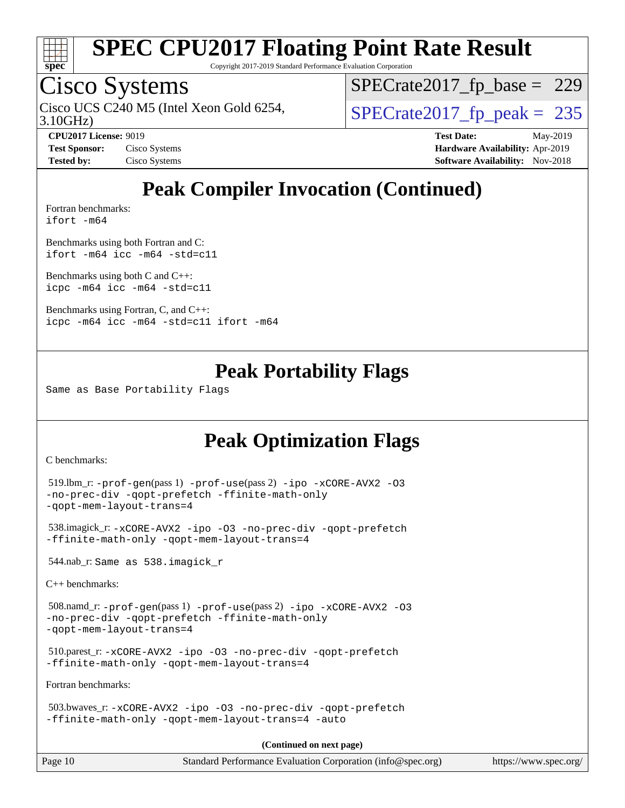

Copyright 2017-2019 Standard Performance Evaluation Corporation

## Cisco Systems

3.10GHz) Cisco UCS C240 M5 (Intel Xeon Gold 6254,  $\vert$ [SPECrate2017\\_fp\\_peak =](http://www.spec.org/auto/cpu2017/Docs/result-fields.html#SPECrate2017fppeak) 235

[SPECrate2017\\_fp\\_base =](http://www.spec.org/auto/cpu2017/Docs/result-fields.html#SPECrate2017fpbase) 229

**[CPU2017 License:](http://www.spec.org/auto/cpu2017/Docs/result-fields.html#CPU2017License)** 9019 **[Test Date:](http://www.spec.org/auto/cpu2017/Docs/result-fields.html#TestDate)** May-2019 **[Test Sponsor:](http://www.spec.org/auto/cpu2017/Docs/result-fields.html#TestSponsor)** Cisco Systems **[Hardware Availability:](http://www.spec.org/auto/cpu2017/Docs/result-fields.html#HardwareAvailability)** Apr-2019 **[Tested by:](http://www.spec.org/auto/cpu2017/Docs/result-fields.html#Testedby)** Cisco Systems **[Software Availability:](http://www.spec.org/auto/cpu2017/Docs/result-fields.html#SoftwareAvailability)** Nov-2018

## **[Peak Compiler Invocation \(Continued\)](http://www.spec.org/auto/cpu2017/Docs/result-fields.html#PeakCompilerInvocation)**

[Fortran benchmarks](http://www.spec.org/auto/cpu2017/Docs/result-fields.html#Fortranbenchmarks): [ifort -m64](http://www.spec.org/cpu2017/results/res2019q3/cpu2017-20190625-15901.flags.html#user_FCpeak_intel_ifort_64bit_24f2bb282fbaeffd6157abe4f878425411749daecae9a33200eee2bee2fe76f3b89351d69a8130dd5949958ce389cf37ff59a95e7a40d588e8d3a57e0c3fd751)

[Benchmarks using both Fortran and C](http://www.spec.org/auto/cpu2017/Docs/result-fields.html#BenchmarksusingbothFortranandC): [ifort -m64](http://www.spec.org/cpu2017/results/res2019q3/cpu2017-20190625-15901.flags.html#user_CC_FCpeak_intel_ifort_64bit_24f2bb282fbaeffd6157abe4f878425411749daecae9a33200eee2bee2fe76f3b89351d69a8130dd5949958ce389cf37ff59a95e7a40d588e8d3a57e0c3fd751) [icc -m64 -std=c11](http://www.spec.org/cpu2017/results/res2019q3/cpu2017-20190625-15901.flags.html#user_CC_FCpeak_intel_icc_64bit_c11_33ee0cdaae7deeeab2a9725423ba97205ce30f63b9926c2519791662299b76a0318f32ddfffdc46587804de3178b4f9328c46fa7c2b0cd779d7a61945c91cd35)

[Benchmarks using both C and C++](http://www.spec.org/auto/cpu2017/Docs/result-fields.html#BenchmarksusingbothCandCXX): [icpc -m64](http://www.spec.org/cpu2017/results/res2019q3/cpu2017-20190625-15901.flags.html#user_CC_CXXpeak_intel_icpc_64bit_4ecb2543ae3f1412ef961e0650ca070fec7b7afdcd6ed48761b84423119d1bf6bdf5cad15b44d48e7256388bc77273b966e5eb805aefd121eb22e9299b2ec9d9) [icc -m64 -std=c11](http://www.spec.org/cpu2017/results/res2019q3/cpu2017-20190625-15901.flags.html#user_CC_CXXpeak_intel_icc_64bit_c11_33ee0cdaae7deeeab2a9725423ba97205ce30f63b9926c2519791662299b76a0318f32ddfffdc46587804de3178b4f9328c46fa7c2b0cd779d7a61945c91cd35)

[Benchmarks using Fortran, C, and C++:](http://www.spec.org/auto/cpu2017/Docs/result-fields.html#BenchmarksusingFortranCandCXX) [icpc -m64](http://www.spec.org/cpu2017/results/res2019q3/cpu2017-20190625-15901.flags.html#user_CC_CXX_FCpeak_intel_icpc_64bit_4ecb2543ae3f1412ef961e0650ca070fec7b7afdcd6ed48761b84423119d1bf6bdf5cad15b44d48e7256388bc77273b966e5eb805aefd121eb22e9299b2ec9d9) [icc -m64 -std=c11](http://www.spec.org/cpu2017/results/res2019q3/cpu2017-20190625-15901.flags.html#user_CC_CXX_FCpeak_intel_icc_64bit_c11_33ee0cdaae7deeeab2a9725423ba97205ce30f63b9926c2519791662299b76a0318f32ddfffdc46587804de3178b4f9328c46fa7c2b0cd779d7a61945c91cd35) [ifort -m64](http://www.spec.org/cpu2017/results/res2019q3/cpu2017-20190625-15901.flags.html#user_CC_CXX_FCpeak_intel_ifort_64bit_24f2bb282fbaeffd6157abe4f878425411749daecae9a33200eee2bee2fe76f3b89351d69a8130dd5949958ce389cf37ff59a95e7a40d588e8d3a57e0c3fd751)

#### **[Peak Portability Flags](http://www.spec.org/auto/cpu2017/Docs/result-fields.html#PeakPortabilityFlags)**

Same as Base Portability Flags

### **[Peak Optimization Flags](http://www.spec.org/auto/cpu2017/Docs/result-fields.html#PeakOptimizationFlags)**

[C benchmarks](http://www.spec.org/auto/cpu2017/Docs/result-fields.html#Cbenchmarks):

```
 519.lbm_r: -prof-gen(pass 1) -prof-use(pass 2) -ipo -xCORE-AVX2 -O3
-no-prec-div -qopt-prefetch -ffinite-math-only
-qopt-mem-layout-trans=4
```

```
 538.imagick_r: -xCORE-AVX2 -ipo -O3 -no-prec-div -qopt-prefetch
-ffinite-math-only -qopt-mem-layout-trans=4
```
544.nab\_r: Same as 538.imagick\_r

[C++ benchmarks:](http://www.spec.org/auto/cpu2017/Docs/result-fields.html#CXXbenchmarks)

```
 508.namd_r: -prof-gen(pass 1) -prof-use(pass 2) -ipo -xCORE-AVX2 -O3
-no-prec-div -qopt-prefetch -ffinite-math-only
-qopt-mem-layout-trans=4
```

```
 510.parest_r: -xCORE-AVX2 -ipo -O3 -no-prec-div -qopt-prefetch
-ffinite-math-only -qopt-mem-layout-trans=4
```
[Fortran benchmarks](http://www.spec.org/auto/cpu2017/Docs/result-fields.html#Fortranbenchmarks):

```
 503.bwaves_r: -xCORE-AVX2 -ipo -O3 -no-prec-div -qopt-prefetch
-ffinite-math-only -qopt-mem-layout-trans=4 -auto
```
**(Continued on next page)**